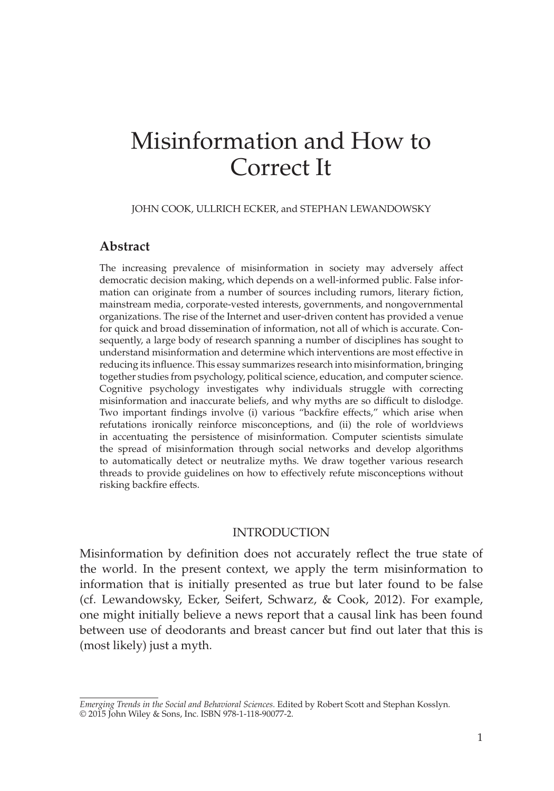# Misinformation and How to Correct It

JOHN COOK, ULLRICH ECKER, and STEPHAN LEWANDOWSKY

# **Abstract**

The increasing prevalence of misinformation in society may adversely affect democratic decision making, which depends on a well-informed public. False information can originate from a number of sources including rumors, literary fiction, mainstream media, corporate-vested interests, governments, and nongovernmental organizations. The rise of the Internet and user-driven content has provided a venue for quick and broad dissemination of information, not all of which is accurate. Consequently, a large body of research spanning a number of disciplines has sought to understand misinformation and determine which interventions are most effective in reducing its influence. This essay summarizes research into misinformation, bringing together studies from psychology, political science, education, and computer science. Cognitive psychology investigates why individuals struggle with correcting misinformation and inaccurate beliefs, and why myths are so difficult to dislodge. Two important findings involve (i) various "backfire effects," which arise when refutations ironically reinforce misconceptions, and (ii) the role of worldviews in accentuating the persistence of misinformation. Computer scientists simulate the spread of misinformation through social networks and develop algorithms to automatically detect or neutralize myths. We draw together various research threads to provide guidelines on how to effectively refute misconceptions without risking backfire effects.

#### INTRODUCTION

Misinformation by definition does not accurately reflect the true state of the world. In the present context, we apply the term misinformation to information that is initially presented as true but later found to be false (cf. Lewandowsky, Ecker, Seifert, Schwarz, & Cook, 2012). For example, one might initially believe a news report that a causal link has been found between use of deodorants and breast cancer but find out later that this is (most likely) just a myth.

*Emerging Trends in the Social and Behavioral Sciences*. Edited by Robert Scott and Stephan Kosslyn. © 2015 John Wiley & Sons, Inc. ISBN 978-1-118-90077-2.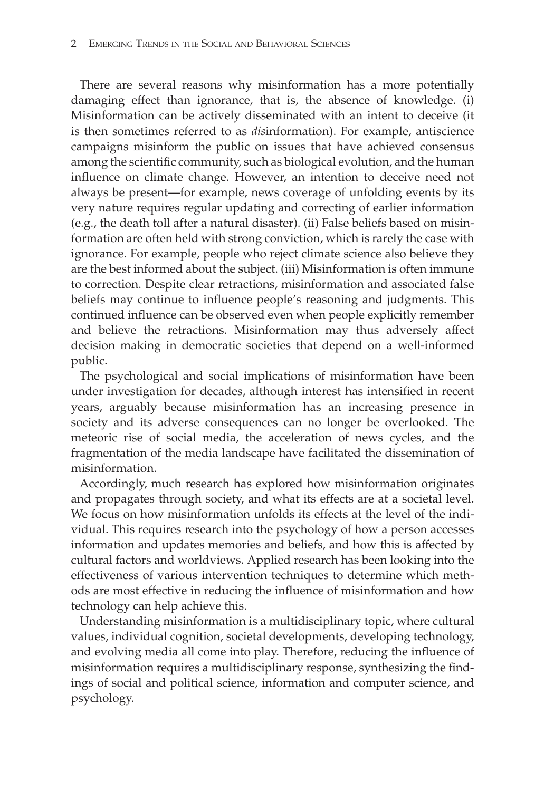There are several reasons why misinformation has a more potentially damaging effect than ignorance, that is, the absence of knowledge. (i) Misinformation can be actively disseminated with an intent to deceive (it is then sometimes referred to as *dis*information). For example, antiscience campaigns misinform the public on issues that have achieved consensus among the scientific community, such as biological evolution, and the human influence on climate change. However, an intention to deceive need not always be present—for example, news coverage of unfolding events by its very nature requires regular updating and correcting of earlier information (e.g., the death toll after a natural disaster). (ii) False beliefs based on misinformation are often held with strong conviction, which is rarely the case with ignorance. For example, people who reject climate science also believe they are the best informed about the subject. (iii) Misinformation is often immune to correction. Despite clear retractions, misinformation and associated false beliefs may continue to influence people's reasoning and judgments. This continued influence can be observed even when people explicitly remember and believe the retractions. Misinformation may thus adversely affect decision making in democratic societies that depend on a well-informed public.

The psychological and social implications of misinformation have been under investigation for decades, although interest has intensified in recent years, arguably because misinformation has an increasing presence in society and its adverse consequences can no longer be overlooked. The meteoric rise of social media, the acceleration of news cycles, and the fragmentation of the media landscape have facilitated the dissemination of misinformation.

Accordingly, much research has explored how misinformation originates and propagates through society, and what its effects are at a societal level. We focus on how misinformation unfolds its effects at the level of the individual. This requires research into the psychology of how a person accesses information and updates memories and beliefs, and how this is affected by cultural factors and worldviews. Applied research has been looking into the effectiveness of various intervention techniques to determine which methods are most effective in reducing the influence of misinformation and how technology can help achieve this.

Understanding misinformation is a multidisciplinary topic, where cultural values, individual cognition, societal developments, developing technology, and evolving media all come into play. Therefore, reducing the influence of misinformation requires a multidisciplinary response, synthesizing the findings of social and political science, information and computer science, and psychology.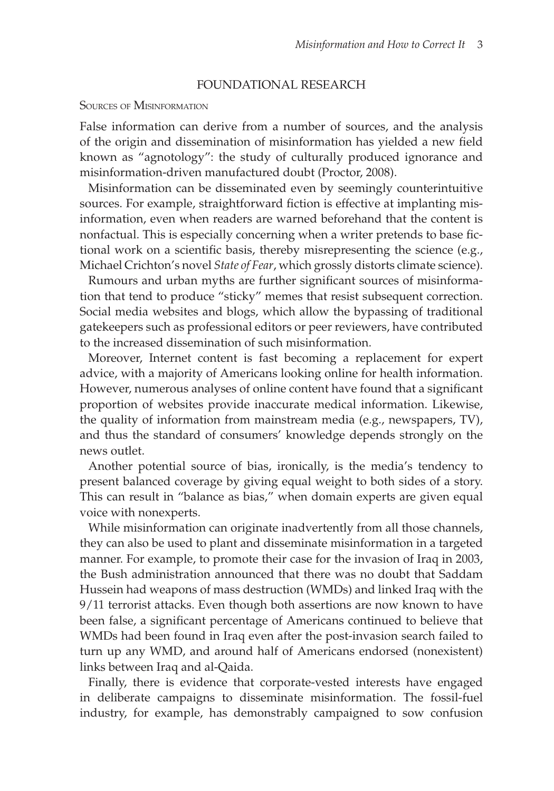### FOUNDATIONAL RESEARCH

#### SOURCES OF MISINFORMATION

False information can derive from a number of sources, and the analysis of the origin and dissemination of misinformation has yielded a new field known as "agnotology": the study of culturally produced ignorance and misinformation-driven manufactured doubt (Proctor, 2008).

Misinformation can be disseminated even by seemingly counterintuitive sources. For example, straightforward fiction is effective at implanting misinformation, even when readers are warned beforehand that the content is nonfactual. This is especially concerning when a writer pretends to base fictional work on a scientific basis, thereby misrepresenting the science (e.g., Michael Crichton's novel *State of Fear*, which grossly distorts climate science).

Rumours and urban myths are further significant sources of misinformation that tend to produce "sticky" memes that resist subsequent correction. Social media websites and blogs, which allow the bypassing of traditional gatekeepers such as professional editors or peer reviewers, have contributed to the increased dissemination of such misinformation.

Moreover, Internet content is fast becoming a replacement for expert advice, with a majority of Americans looking online for health information. However, numerous analyses of online content have found that a significant proportion of websites provide inaccurate medical information. Likewise, the quality of information from mainstream media (e.g., newspapers, TV), and thus the standard of consumers' knowledge depends strongly on the news outlet.

Another potential source of bias, ironically, is the media's tendency to present balanced coverage by giving equal weight to both sides of a story. This can result in "balance as bias," when domain experts are given equal voice with nonexperts.

While misinformation can originate inadvertently from all those channels, they can also be used to plant and disseminate misinformation in a targeted manner. For example, to promote their case for the invasion of Iraq in 2003, the Bush administration announced that there was no doubt that Saddam Hussein had weapons of mass destruction (WMDs) and linked Iraq with the 9/11 terrorist attacks. Even though both assertions are now known to have been false, a significant percentage of Americans continued to believe that WMDs had been found in Iraq even after the post-invasion search failed to turn up any WMD, and around half of Americans endorsed (nonexistent) links between Iraq and al-Qaida.

Finally, there is evidence that corporate-vested interests have engaged in deliberate campaigns to disseminate misinformation. The fossil-fuel industry, for example, has demonstrably campaigned to sow confusion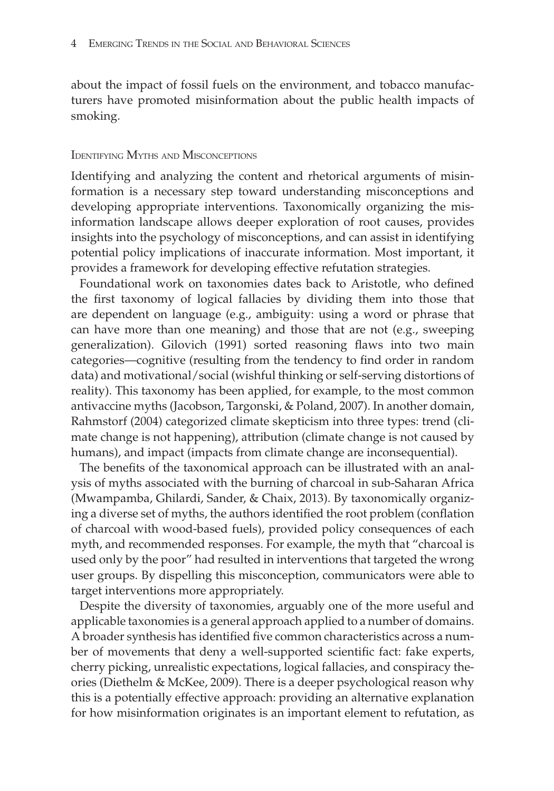about the impact of fossil fuels on the environment, and tobacco manufacturers have promoted misinformation about the public health impacts of smoking.

## IDENTIFYING MYTHS AND MISCONCEPTIONS

Identifying and analyzing the content and rhetorical arguments of misinformation is a necessary step toward understanding misconceptions and developing appropriate interventions. Taxonomically organizing the misinformation landscape allows deeper exploration of root causes, provides insights into the psychology of misconceptions, and can assist in identifying potential policy implications of inaccurate information. Most important, it provides a framework for developing effective refutation strategies.

Foundational work on taxonomies dates back to Aristotle, who defined the first taxonomy of logical fallacies by dividing them into those that are dependent on language (e.g., ambiguity: using a word or phrase that can have more than one meaning) and those that are not (e.g., sweeping generalization). Gilovich (1991) sorted reasoning flaws into two main categories—cognitive (resulting from the tendency to find order in random data) and motivational/social (wishful thinking or self-serving distortions of reality). This taxonomy has been applied, for example, to the most common antivaccine myths (Jacobson, Targonski, & Poland, 2007). In another domain, Rahmstorf (2004) categorized climate skepticism into three types: trend (climate change is not happening), attribution (climate change is not caused by humans), and impact (impacts from climate change are inconsequential).

The benefits of the taxonomical approach can be illustrated with an analysis of myths associated with the burning of charcoal in sub-Saharan Africa (Mwampamba, Ghilardi, Sander, & Chaix, 2013). By taxonomically organizing a diverse set of myths, the authors identified the root problem (conflation of charcoal with wood-based fuels), provided policy consequences of each myth, and recommended responses. For example, the myth that "charcoal is used only by the poor" had resulted in interventions that targeted the wrong user groups. By dispelling this misconception, communicators were able to target interventions more appropriately.

Despite the diversity of taxonomies, arguably one of the more useful and applicable taxonomies is a general approach applied to a number of domains. A broader synthesis has identified five common characteristics across a number of movements that deny a well-supported scientific fact: fake experts, cherry picking, unrealistic expectations, logical fallacies, and conspiracy theories (Diethelm & McKee, 2009). There is a deeper psychological reason why this is a potentially effective approach: providing an alternative explanation for how misinformation originates is an important element to refutation, as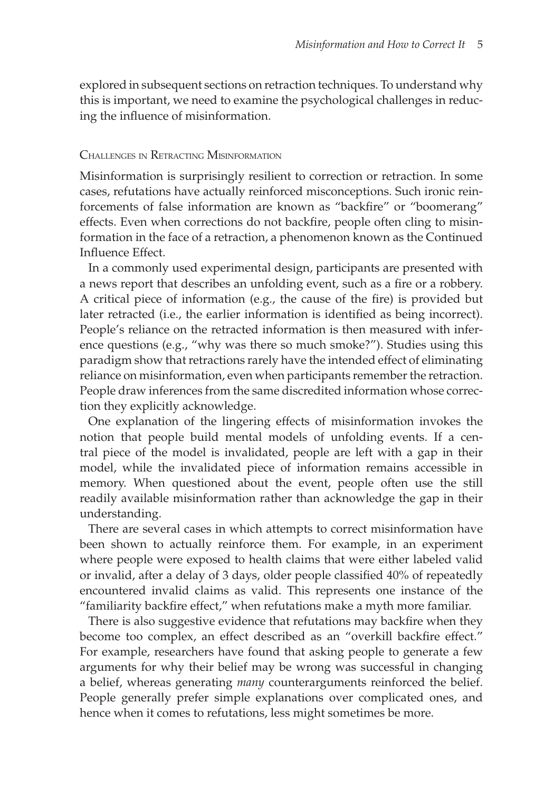explored in subsequent sections on retraction techniques. To understand why this is important, we need to examine the psychological challenges in reducing the influence of misinformation.

#### CHALLENGES IN RETRACTING MISINFORMATION

Misinformation is surprisingly resilient to correction or retraction. In some cases, refutations have actually reinforced misconceptions. Such ironic reinforcements of false information are known as "backfire" or "boomerang" effects. Even when corrections do not backfire, people often cling to misinformation in the face of a retraction, a phenomenon known as the Continued Influence Effect.

In a commonly used experimental design, participants are presented with a news report that describes an unfolding event, such as a fire or a robbery. A critical piece of information (e.g., the cause of the fire) is provided but later retracted (i.e., the earlier information is identified as being incorrect). People's reliance on the retracted information is then measured with inference questions (e.g., "why was there so much smoke?"). Studies using this paradigm show that retractions rarely have the intended effect of eliminating reliance on misinformation, even when participants remember the retraction. People draw inferences from the same discredited information whose correction they explicitly acknowledge.

One explanation of the lingering effects of misinformation invokes the notion that people build mental models of unfolding events. If a central piece of the model is invalidated, people are left with a gap in their model, while the invalidated piece of information remains accessible in memory. When questioned about the event, people often use the still readily available misinformation rather than acknowledge the gap in their understanding.

There are several cases in which attempts to correct misinformation have been shown to actually reinforce them. For example, in an experiment where people were exposed to health claims that were either labeled valid or invalid, after a delay of 3 days, older people classified 40% of repeatedly encountered invalid claims as valid. This represents one instance of the "familiarity backfire effect," when refutations make a myth more familiar.

There is also suggestive evidence that refutations may backfire when they become too complex, an effect described as an "overkill backfire effect." For example, researchers have found that asking people to generate a few arguments for why their belief may be wrong was successful in changing a belief, whereas generating *many* counterarguments reinforced the belief. People generally prefer simple explanations over complicated ones, and hence when it comes to refutations, less might sometimes be more.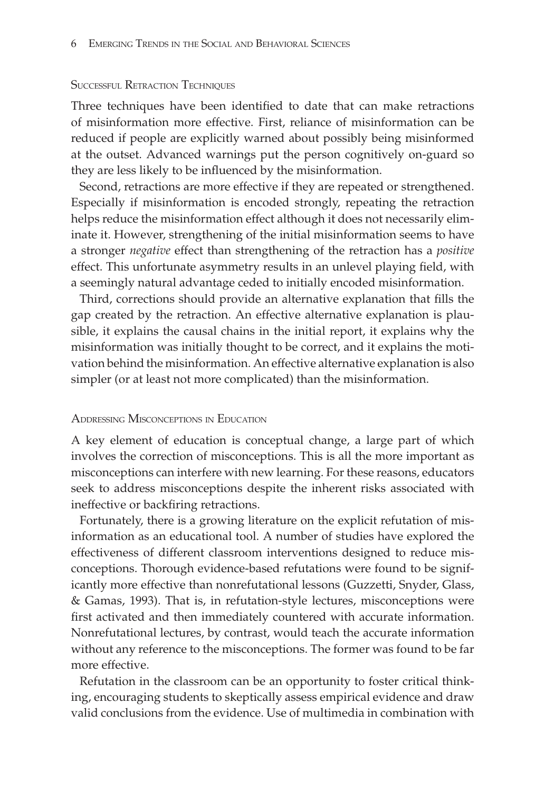#### SUCCESSFUL RETRACTION TECHNIQUES

Three techniques have been identified to date that can make retractions of misinformation more effective. First, reliance of misinformation can be reduced if people are explicitly warned about possibly being misinformed at the outset. Advanced warnings put the person cognitively on-guard so they are less likely to be influenced by the misinformation.

Second, retractions are more effective if they are repeated or strengthened. Especially if misinformation is encoded strongly, repeating the retraction helps reduce the misinformation effect although it does not necessarily eliminate it. However, strengthening of the initial misinformation seems to have a stronger *negative* effect than strengthening of the retraction has a *positive* effect. This unfortunate asymmetry results in an unlevel playing field, with a seemingly natural advantage ceded to initially encoded misinformation.

Third, corrections should provide an alternative explanation that fills the gap created by the retraction. An effective alternative explanation is plausible, it explains the causal chains in the initial report, it explains why the misinformation was initially thought to be correct, and it explains the motivation behind the misinformation. An effective alternative explanation is also simpler (or at least not more complicated) than the misinformation.

#### ADDRESSING MISCONCEPTIONS IN EDUCATION

A key element of education is conceptual change, a large part of which involves the correction of misconceptions. This is all the more important as misconceptions can interfere with new learning. For these reasons, educators seek to address misconceptions despite the inherent risks associated with ineffective or backfiring retractions.

Fortunately, there is a growing literature on the explicit refutation of misinformation as an educational tool. A number of studies have explored the effectiveness of different classroom interventions designed to reduce misconceptions. Thorough evidence-based refutations were found to be significantly more effective than nonrefutational lessons (Guzzetti, Snyder, Glass, & Gamas, 1993). That is, in refutation-style lectures, misconceptions were first activated and then immediately countered with accurate information. Nonrefutational lectures, by contrast, would teach the accurate information without any reference to the misconceptions. The former was found to be far more effective.

Refutation in the classroom can be an opportunity to foster critical thinking, encouraging students to skeptically assess empirical evidence and draw valid conclusions from the evidence. Use of multimedia in combination with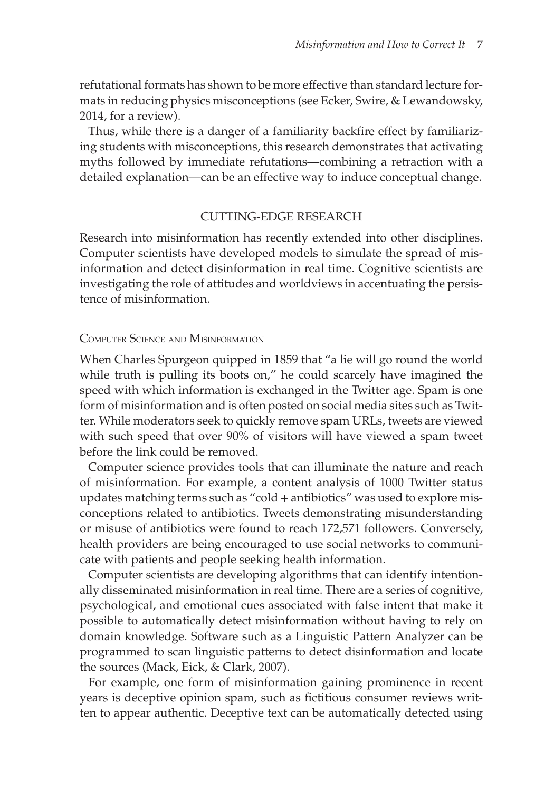refutational formats has shown to be more effective than standard lecture formats in reducing physics misconceptions (see Ecker, Swire, & Lewandowsky, 2014, for a review).

Thus, while there is a danger of a familiarity backfire effect by familiarizing students with misconceptions, this research demonstrates that activating myths followed by immediate refutations—combining a retraction with a detailed explanation—can be an effective way to induce conceptual change.

# CUTTING-EDGE RESEARCH

Research into misinformation has recently extended into other disciplines. Computer scientists have developed models to simulate the spread of misinformation and detect disinformation in real time. Cognitive scientists are investigating the role of attitudes and worldviews in accentuating the persistence of misinformation.

## COMPUTER SCIENCE AND MISINFORMATION

When Charles Spurgeon quipped in 1859 that "a lie will go round the world while truth is pulling its boots on," he could scarcely have imagined the speed with which information is exchanged in the Twitter age. Spam is one form of misinformation and is often posted on social media sites such as Twitter. While moderators seek to quickly remove spam URLs, tweets are viewed with such speed that over 90% of visitors will have viewed a spam tweet before the link could be removed.

Computer science provides tools that can illuminate the nature and reach of misinformation. For example, a content analysis of 1000 Twitter status updates matching terms such as "cold + antibiotics" was used to explore misconceptions related to antibiotics. Tweets demonstrating misunderstanding or misuse of antibiotics were found to reach 172,571 followers. Conversely, health providers are being encouraged to use social networks to communicate with patients and people seeking health information.

Computer scientists are developing algorithms that can identify intentionally disseminated misinformation in real time. There are a series of cognitive, psychological, and emotional cues associated with false intent that make it possible to automatically detect misinformation without having to rely on domain knowledge. Software such as a Linguistic Pattern Analyzer can be programmed to scan linguistic patterns to detect disinformation and locate the sources (Mack, Eick, & Clark, 2007).

For example, one form of misinformation gaining prominence in recent years is deceptive opinion spam, such as fictitious consumer reviews written to appear authentic. Deceptive text can be automatically detected using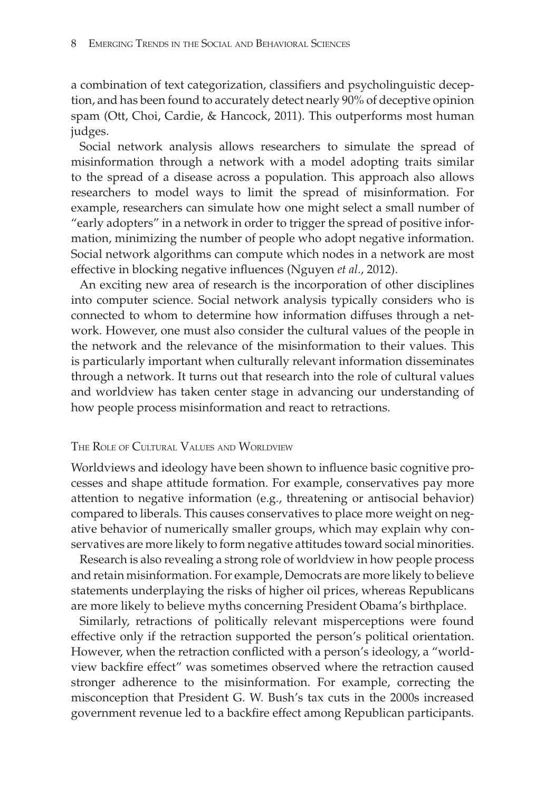a combination of text categorization, classifiers and psycholinguistic deception, and has been found to accurately detect nearly 90% of deceptive opinion spam (Ott, Choi, Cardie, & Hancock, 2011). This outperforms most human judges.

Social network analysis allows researchers to simulate the spread of misinformation through a network with a model adopting traits similar to the spread of a disease across a population. This approach also allows researchers to model ways to limit the spread of misinformation. For example, researchers can simulate how one might select a small number of "early adopters" in a network in order to trigger the spread of positive information, minimizing the number of people who adopt negative information. Social network algorithms can compute which nodes in a network are most effective in blocking negative influences (Nguyen *et al*., 2012).

An exciting new area of research is the incorporation of other disciplines into computer science. Social network analysis typically considers who is connected to whom to determine how information diffuses through a network. However, one must also consider the cultural values of the people in the network and the relevance of the misinformation to their values. This is particularly important when culturally relevant information disseminates through a network. It turns out that research into the role of cultural values and worldview has taken center stage in advancing our understanding of how people process misinformation and react to retractions.

## THE ROLE OF CULTURAL VALUES AND WORLDVIEW

Worldviews and ideology have been shown to influence basic cognitive processes and shape attitude formation. For example, conservatives pay more attention to negative information (e.g., threatening or antisocial behavior) compared to liberals. This causes conservatives to place more weight on negative behavior of numerically smaller groups, which may explain why conservatives are more likely to form negative attitudes toward social minorities.

Research is also revealing a strong role of worldview in how people process and retain misinformation. For example, Democrats are more likely to believe statements underplaying the risks of higher oil prices, whereas Republicans are more likely to believe myths concerning President Obama's birthplace.

Similarly, retractions of politically relevant misperceptions were found effective only if the retraction supported the person's political orientation. However, when the retraction conflicted with a person's ideology, a "worldview backfire effect" was sometimes observed where the retraction caused stronger adherence to the misinformation. For example, correcting the misconception that President G. W. Bush's tax cuts in the 2000s increased government revenue led to a backfire effect among Republican participants.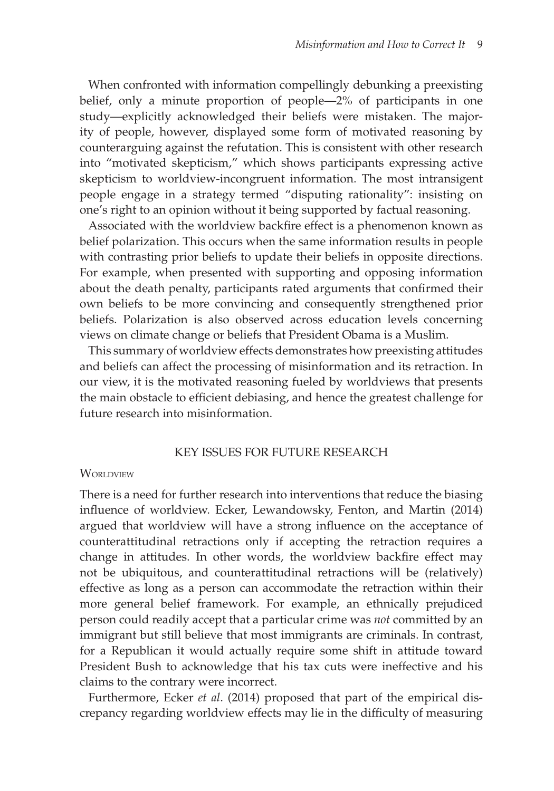When confronted with information compellingly debunking a preexisting belief, only a minute proportion of people—2% of participants in one study—explicitly acknowledged their beliefs were mistaken. The majority of people, however, displayed some form of motivated reasoning by counterarguing against the refutation. This is consistent with other research into "motivated skepticism," which shows participants expressing active skepticism to worldview-incongruent information. The most intransigent people engage in a strategy termed "disputing rationality": insisting on one's right to an opinion without it being supported by factual reasoning.

Associated with the worldview backfire effect is a phenomenon known as belief polarization. This occurs when the same information results in people with contrasting prior beliefs to update their beliefs in opposite directions. For example, when presented with supporting and opposing information about the death penalty, participants rated arguments that confirmed their own beliefs to be more convincing and consequently strengthened prior beliefs. Polarization is also observed across education levels concerning views on climate change or beliefs that President Obama is a Muslim.

This summary of worldview effects demonstrates how preexisting attitudes and beliefs can affect the processing of misinformation and its retraction. In our view, it is the motivated reasoning fueled by worldviews that presents the main obstacle to efficient debiasing, and hence the greatest challenge for future research into misinformation.

#### KEY ISSUES FOR FUTURE RESEARCH

#### **WORLDVIEW**

There is a need for further research into interventions that reduce the biasing influence of worldview. Ecker, Lewandowsky, Fenton, and Martin (2014) argued that worldview will have a strong influence on the acceptance of counterattitudinal retractions only if accepting the retraction requires a change in attitudes. In other words, the worldview backfire effect may not be ubiquitous, and counterattitudinal retractions will be (relatively) effective as long as a person can accommodate the retraction within their more general belief framework. For example, an ethnically prejudiced person could readily accept that a particular crime was *not* committed by an immigrant but still believe that most immigrants are criminals. In contrast, for a Republican it would actually require some shift in attitude toward President Bush to acknowledge that his tax cuts were ineffective and his claims to the contrary were incorrect.

Furthermore, Ecker *et al*. (2014) proposed that part of the empirical discrepancy regarding worldview effects may lie in the difficulty of measuring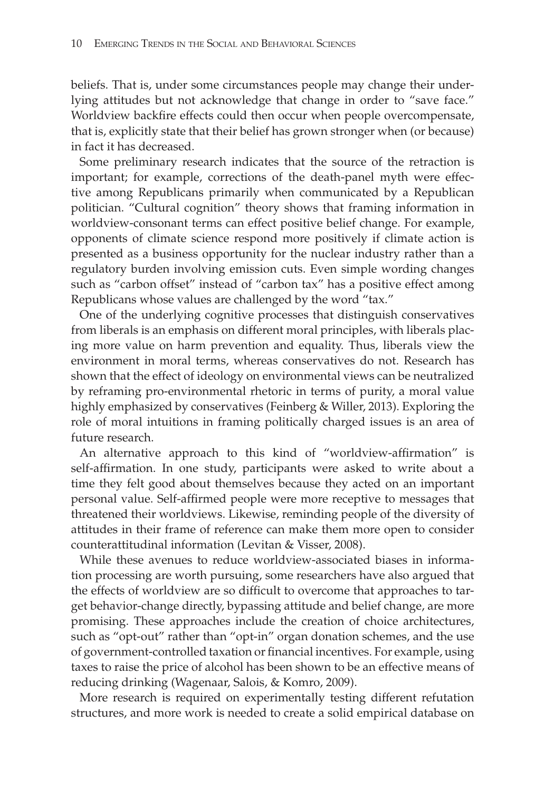beliefs. That is, under some circumstances people may change their underlying attitudes but not acknowledge that change in order to "save face." Worldview backfire effects could then occur when people overcompensate, that is, explicitly state that their belief has grown stronger when (or because) in fact it has decreased.

Some preliminary research indicates that the source of the retraction is important; for example, corrections of the death-panel myth were effective among Republicans primarily when communicated by a Republican politician. "Cultural cognition" theory shows that framing information in worldview-consonant terms can effect positive belief change. For example, opponents of climate science respond more positively if climate action is presented as a business opportunity for the nuclear industry rather than a regulatory burden involving emission cuts. Even simple wording changes such as "carbon offset" instead of "carbon tax" has a positive effect among Republicans whose values are challenged by the word "tax."

One of the underlying cognitive processes that distinguish conservatives from liberals is an emphasis on different moral principles, with liberals placing more value on harm prevention and equality. Thus, liberals view the environment in moral terms, whereas conservatives do not. Research has shown that the effect of ideology on environmental views can be neutralized by reframing pro-environmental rhetoric in terms of purity, a moral value highly emphasized by conservatives (Feinberg & Willer, 2013). Exploring the role of moral intuitions in framing politically charged issues is an area of future research.

An alternative approach to this kind of "worldview-affirmation" is self-affirmation. In one study, participants were asked to write about a time they felt good about themselves because they acted on an important personal value. Self-affirmed people were more receptive to messages that threatened their worldviews. Likewise, reminding people of the diversity of attitudes in their frame of reference can make them more open to consider counterattitudinal information (Levitan & Visser, 2008).

While these avenues to reduce worldview-associated biases in information processing are worth pursuing, some researchers have also argued that the effects of worldview are so difficult to overcome that approaches to target behavior-change directly, bypassing attitude and belief change, are more promising. These approaches include the creation of choice architectures, such as "opt-out" rather than "opt-in" organ donation schemes, and the use of government-controlled taxation or financial incentives. For example, using taxes to raise the price of alcohol has been shown to be an effective means of reducing drinking (Wagenaar, Salois, & Komro, 2009).

More research is required on experimentally testing different refutation structures, and more work is needed to create a solid empirical database on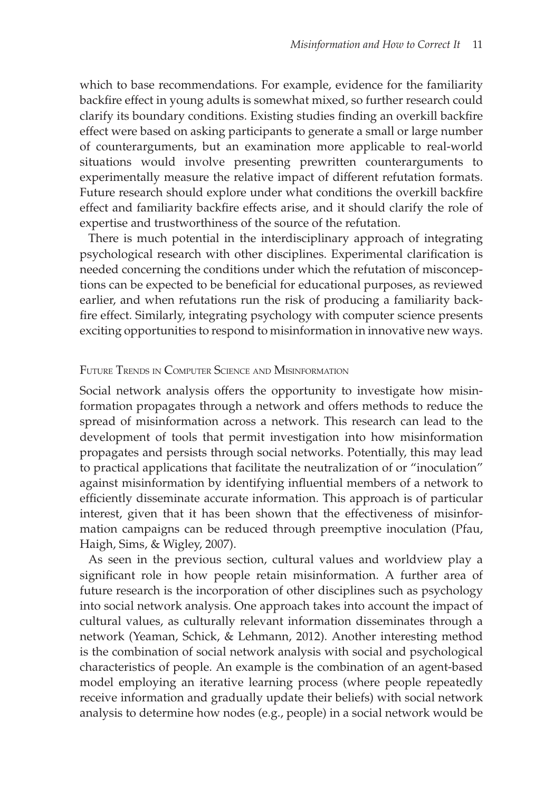which to base recommendations. For example, evidence for the familiarity backfire effect in young adults is somewhat mixed, so further research could clarify its boundary conditions. Existing studies finding an overkill backfire effect were based on asking participants to generate a small or large number of counterarguments, but an examination more applicable to real-world situations would involve presenting prewritten counterarguments to experimentally measure the relative impact of different refutation formats. Future research should explore under what conditions the overkill backfire effect and familiarity backfire effects arise, and it should clarify the role of expertise and trustworthiness of the source of the refutation.

There is much potential in the interdisciplinary approach of integrating psychological research with other disciplines. Experimental clarification is needed concerning the conditions under which the refutation of misconceptions can be expected to be beneficial for educational purposes, as reviewed earlier, and when refutations run the risk of producing a familiarity backfire effect. Similarly, integrating psychology with computer science presents exciting opportunities to respond to misinformation in innovative new ways.

## FUTURE TRENDS IN COMPUTER SCIENCE AND MISINFORMATION

Social network analysis offers the opportunity to investigate how misinformation propagates through a network and offers methods to reduce the spread of misinformation across a network. This research can lead to the development of tools that permit investigation into how misinformation propagates and persists through social networks. Potentially, this may lead to practical applications that facilitate the neutralization of or "inoculation" against misinformation by identifying influential members of a network to efficiently disseminate accurate information. This approach is of particular interest, given that it has been shown that the effectiveness of misinformation campaigns can be reduced through preemptive inoculation (Pfau, Haigh, Sims, & Wigley, 2007).

As seen in the previous section, cultural values and worldview play a significant role in how people retain misinformation. A further area of future research is the incorporation of other disciplines such as psychology into social network analysis. One approach takes into account the impact of cultural values, as culturally relevant information disseminates through a network (Yeaman, Schick, & Lehmann, 2012). Another interesting method is the combination of social network analysis with social and psychological characteristics of people. An example is the combination of an agent-based model employing an iterative learning process (where people repeatedly receive information and gradually update their beliefs) with social network analysis to determine how nodes (e.g., people) in a social network would be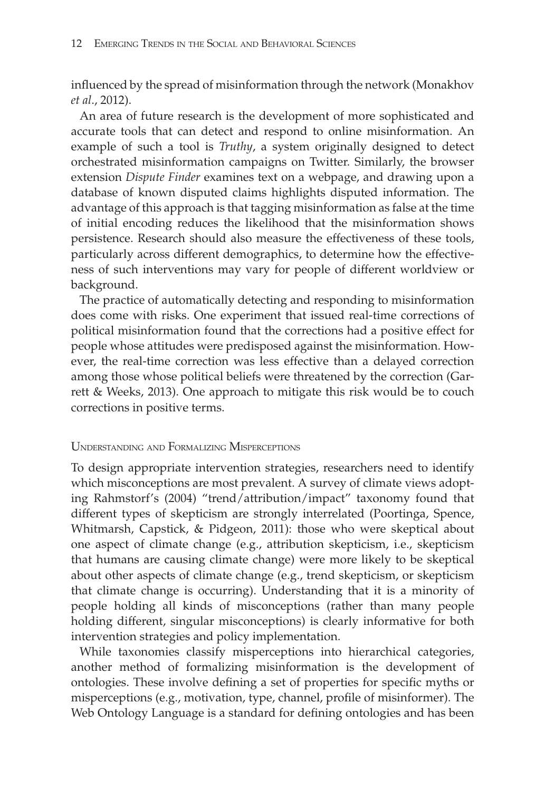influenced by the spread of misinformation through the network (Monakhov *et al*., 2012).

An area of future research is the development of more sophisticated and accurate tools that can detect and respond to online misinformation. An example of such a tool is *Truthy*, a system originally designed to detect orchestrated misinformation campaigns on Twitter. Similarly, the browser extension *Dispute Finder* examines text on a webpage, and drawing upon a database of known disputed claims highlights disputed information. The advantage of this approach is that tagging misinformation as false at the time of initial encoding reduces the likelihood that the misinformation shows persistence. Research should also measure the effectiveness of these tools, particularly across different demographics, to determine how the effectiveness of such interventions may vary for people of different worldview or background.

The practice of automatically detecting and responding to misinformation does come with risks. One experiment that issued real-time corrections of political misinformation found that the corrections had a positive effect for people whose attitudes were predisposed against the misinformation. However, the real-time correction was less effective than a delayed correction among those whose political beliefs were threatened by the correction (Garrett & Weeks, 2013). One approach to mitigate this risk would be to couch corrections in positive terms.

# UNDERSTANDING AND FORMALIZING MISPERCEPTIONS

To design appropriate intervention strategies, researchers need to identify which misconceptions are most prevalent. A survey of climate views adopting Rahmstorf's (2004) "trend/attribution/impact" taxonomy found that different types of skepticism are strongly interrelated (Poortinga, Spence, Whitmarsh, Capstick, & Pidgeon, 2011): those who were skeptical about one aspect of climate change (e.g., attribution skepticism, i.e., skepticism that humans are causing climate change) were more likely to be skeptical about other aspects of climate change (e.g., trend skepticism, or skepticism that climate change is occurring). Understanding that it is a minority of people holding all kinds of misconceptions (rather than many people holding different, singular misconceptions) is clearly informative for both intervention strategies and policy implementation.

While taxonomies classify misperceptions into hierarchical categories, another method of formalizing misinformation is the development of ontologies. These involve defining a set of properties for specific myths or misperceptions (e.g., motivation, type, channel, profile of misinformer). The Web Ontology Language is a standard for defining ontologies and has been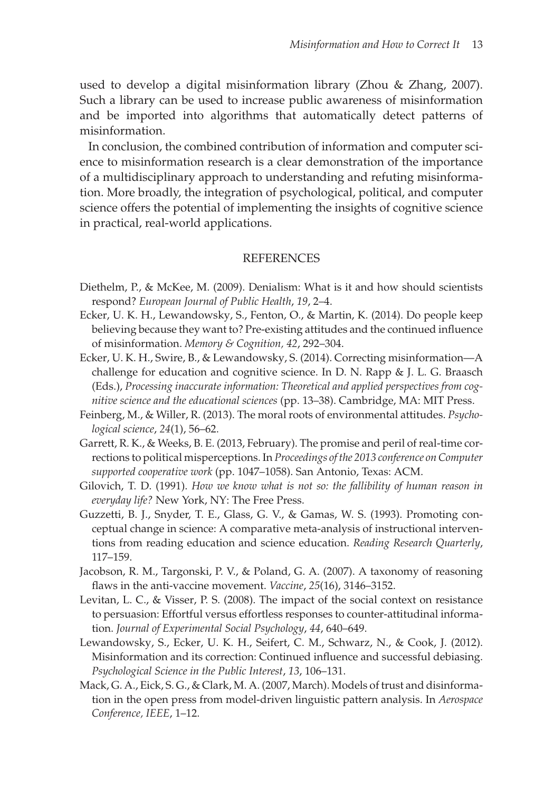used to develop a digital misinformation library (Zhou & Zhang, 2007). Such a library can be used to increase public awareness of misinformation and be imported into algorithms that automatically detect patterns of misinformation.

In conclusion, the combined contribution of information and computer science to misinformation research is a clear demonstration of the importance of a multidisciplinary approach to understanding and refuting misinformation. More broadly, the integration of psychological, political, and computer science offers the potential of implementing the insights of cognitive science in practical, real-world applications.

### REFERENCES

- Diethelm, P., & McKee, M. (2009). Denialism: What is it and how should scientists respond? *European Journal of Public Health*, *19*, 2–4.
- Ecker, U. K. H., Lewandowsky, S., Fenton, O., & Martin, K. (2014). Do people keep believing because they want to? Pre-existing attitudes and the continued influence of misinformation. *Memory & Cognition, 42*, 292–304.
- Ecker, U. K. H., Swire, B., & Lewandowsky, S. (2014). Correcting misinformation—A challenge for education and cognitive science. In D. N. Rapp & J. L. G. Braasch (Eds.), *Processing inaccurate information: Theoretical and applied perspectives from cognitive science and the educational sciences* (pp. 13–38). Cambridge, MA: MIT Press.
- Feinberg, M., & Willer, R. (2013). The moral roots of environmental attitudes. *Psychological science*, *24*(1), 56–62.
- Garrett, R. K., & Weeks, B. E. (2013, February). The promise and peril of real-time corrections to political misperceptions. In *Proceedings of the 2013 conference on Computer supported cooperative work* (pp. 1047–1058). San Antonio, Texas: ACM.
- Gilovich, T. D. (1991). *How we know what is not so: the fallibility of human reason in everyday life?* New York, NY: The Free Press.
- Guzzetti, B. J., Snyder, T. E., Glass, G. V., & Gamas, W. S. (1993). Promoting conceptual change in science: A comparative meta-analysis of instructional interventions from reading education and science education. *Reading Research Quarterly*, 117–159.
- Jacobson, R. M., Targonski, P. V., & Poland, G. A. (2007). A taxonomy of reasoning flaws in the anti-vaccine movement. *Vaccine*, *25*(16), 3146–3152.
- Levitan, L. C., & Visser, P. S. (2008). The impact of the social context on resistance to persuasion: Effortful versus effortless responses to counter-attitudinal information. *Journal of Experimental Social Psychology*, *44*, 640–649.
- Lewandowsky, S., Ecker, U. K. H., Seifert, C. M., Schwarz, N., & Cook, J. (2012). Misinformation and its correction: Continued influence and successful debiasing. *Psychological Science in the Public Interest*, *13*, 106–131.
- Mack, G. A., Eick, S. G., & Clark, M. A. (2007, March). Models of trust and disinformation in the open press from model-driven linguistic pattern analysis. In *Aerospace Conference, IEEE*, 1–12.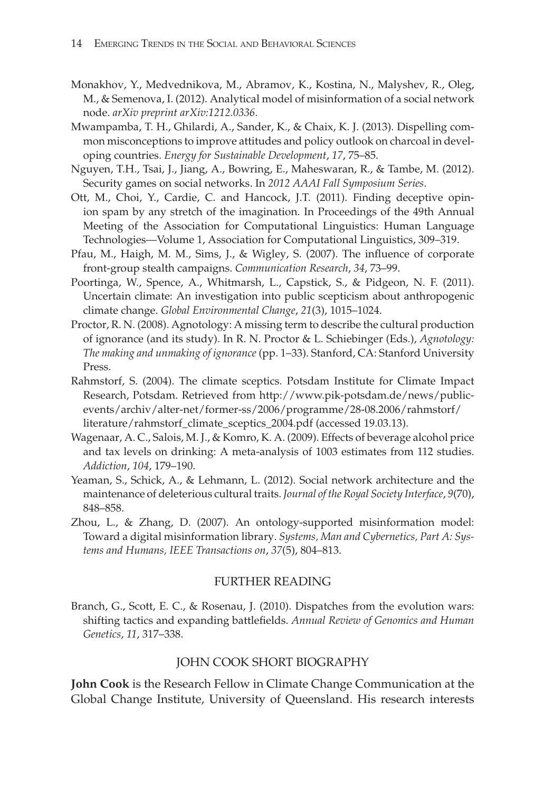- Monakhov, Y., Medvednikova, M., Abramov, K., Kostina, N., Malyshev, R., Oleg, M., & Semenova, I. (2012). Analytical model of misinformation of a social network node. *arXiv preprint arXiv:1212.0336*.
- Mwampamba, T. H., Ghilardi, A., Sander, K., & Chaix, K. J. (2013). Dispelling common misconceptions to improve attitudes and policy outlook on charcoal in developing countries. *Energy for Sustainable Development*, *17*, 75–85.
- Nguyen, T.H., Tsai, J., Jiang, A., Bowring, E., Maheswaran, R., & Tambe, M. (2012). Security games on social networks. In *2012 AAAI Fall Symposium Series*.
- Ott, M., Choi, Y., Cardie, C. and Hancock, J.T. (2011). Finding deceptive opinion spam by any stretch of the imagination. In Proceedings of the 49th Annual Meeting of the Association for Computational Linguistics: Human Language Technologies—Volume 1, Association for Computational Linguistics, 309–319.
- Pfau, M., Haigh, M. M., Sims, J., & Wigley, S. (2007). The influence of corporate front-group stealth campaigns. *Communication Research*, *34*, 73–99.
- Poortinga, W., Spence, A., Whitmarsh, L., Capstick, S., & Pidgeon, N. F. (2011). Uncertain climate: An investigation into public scepticism about anthropogenic climate change. *Global Environmental Change*, *21*(3), 1015–1024.
- Proctor, R. N. (2008). Agnotology: A missing term to describe the cultural production of ignorance (and its study). In R. N. Proctor & L. Schiebinger (Eds.), *Agnotology: The making and unmaking of ignorance* (pp. 1–33). Stanford, CA: Stanford University Press.
- Rahmstorf, S. (2004). The climate sceptics. Potsdam Institute for Climate Impact Research, Potsdam. Retrieved from http://www.pik-potsdam.de/news/publicevents/archiv/alter-net/former-ss/2006/programme/28-08.2006/rahmstorf/ literature/rahmstorf\_climate\_sceptics\_2004.pdf (accessed 19.03.13).
- Wagenaar, A. C., Salois, M. J., & Komro, K. A. (2009). Effects of beverage alcohol price and tax levels on drinking: A meta-analysis of 1003 estimates from 112 studies. *Addiction*, *104*, 179–190.
- Yeaman, S., Schick, A., & Lehmann, L. (2012). Social network architecture and the maintenance of deleterious cultural traits. *Journal of the Royal Society Interface*, *9*(70), 848–858.
- Zhou, L., & Zhang, D. (2007). An ontology-supported misinformation model: Toward a digital misinformation library. *Systems, Man and Cybernetics, Part A: Systems and Humans, IEEE Transactions on*, *37*(5), 804–813.

# FURTHER READING

Branch, G., Scott, E. C., & Rosenau, J. (2010). Dispatches from the evolution wars: shifting tactics and expanding battlefields. *Annual Review of Genomics and Human Genetics*, *11*, 317–338.

# JOHN COOK SHORT BIOGRAPHY

**John Cook** is the Research Fellow in Climate Change Communication at the Global Change Institute, University of Queensland. His research interests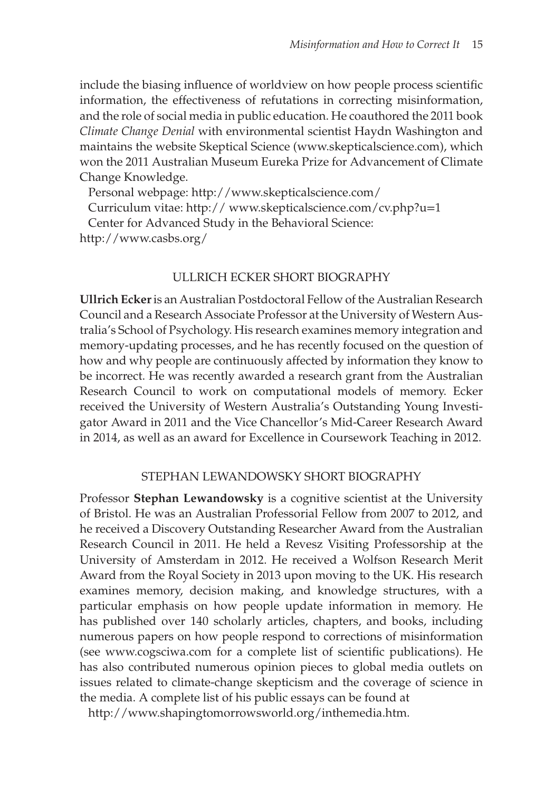include the biasing influence of worldview on how people process scientific information, the effectiveness of refutations in correcting misinformation, and the role of social media in public education. He coauthored the 2011 book *Climate Change Denial* with environmental scientist Haydn Washington and maintains the website Skeptical Science (www.skepticalscience.com), which won the 2011 Australian Museum Eureka Prize for Advancement of Climate Change Knowledge.

Personal webpage: http://www.skepticalscience.com/

Curriculum vitae: http:// www.skepticalscience.com/cv.php?u=1

Center for Advanced Study in the Behavioral Science:

http://www.casbs.org/

## ULLRICH ECKER SHORT BIOGRAPHY

**Ullrich Ecker**is an Australian Postdoctoral Fellow of the Australian Research Council and a Research Associate Professor at the University of Western Australia's School of Psychology. His research examines memory integration and memory-updating processes, and he has recently focused on the question of how and why people are continuously affected by information they know to be incorrect. He was recently awarded a research grant from the Australian Research Council to work on computational models of memory. Ecker received the University of Western Australia's Outstanding Young Investigator Award in 2011 and the Vice Chancellor's Mid-Career Research Award in 2014, as well as an award for Excellence in Coursework Teaching in 2012.

## STEPHAN LEWANDOWSKY SHORT BIOGRAPHY

Professor **Stephan Lewandowsky** is a cognitive scientist at the University of Bristol. He was an Australian Professorial Fellow from 2007 to 2012, and he received a Discovery Outstanding Researcher Award from the Australian Research Council in 2011. He held a Revesz Visiting Professorship at the University of Amsterdam in 2012. He received a Wolfson Research Merit Award from the Royal Society in 2013 upon moving to the UK. His research examines memory, decision making, and knowledge structures, with a particular emphasis on how people update information in memory. He has published over 140 scholarly articles, chapters, and books, including numerous papers on how people respond to corrections of misinformation (see www.cogsciwa.com for a complete list of scientific publications). He has also contributed numerous opinion pieces to global media outlets on issues related to climate-change skepticism and the coverage of science in the media. A complete list of his public essays can be found at

http://www.shapingtomorrowsworld.org/inthemedia.htm.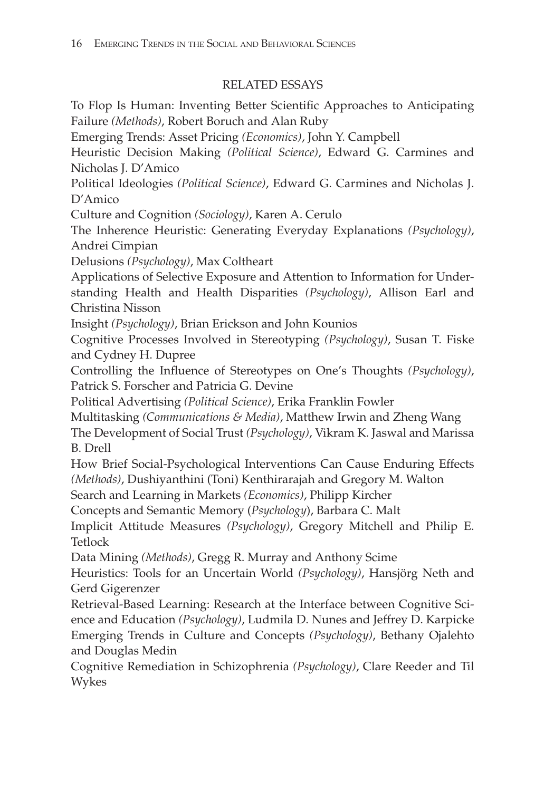# RELATED ESSAYS

To Flop Is Human: Inventing Better Scientific Approaches to Anticipating Failure *(Methods)*, Robert Boruch and Alan Ruby

Emerging Trends: Asset Pricing *(Economics)*, John Y. Campbell

Heuristic Decision Making *(Political Science)*, Edward G. Carmines and Nicholas J. D'Amico

Political Ideologies *(Political Science)*, Edward G. Carmines and Nicholas J. D'Amico

Culture and Cognition *(Sociology)*, Karen A. Cerulo

The Inherence Heuristic: Generating Everyday Explanations *(Psychology)*, Andrei Cimpian

Delusions *(Psychology)*, Max Coltheart

Applications of Selective Exposure and Attention to Information for Understanding Health and Health Disparities *(Psychology)*, Allison Earl and Christina Nisson

Insight *(Psychology)*, Brian Erickson and John Kounios

Cognitive Processes Involved in Stereotyping *(Psychology)*, Susan T. Fiske and Cydney H. Dupree

Controlling the Influence of Stereotypes on One's Thoughts *(Psychology)*, Patrick S. Forscher and Patricia G. Devine

Political Advertising *(Political Science)*, Erika Franklin Fowler

Multitasking *(Communications & Media)*, Matthew Irwin and Zheng Wang The Development of Social Trust *(Psychology)*, Vikram K. Jaswal and Marissa B. Drell

How Brief Social-Psychological Interventions Can Cause Enduring Effects *(Methods)*, Dushiyanthini (Toni) Kenthirarajah and Gregory M. Walton

Search and Learning in Markets *(Economics)*, Philipp Kircher

Concepts and Semantic Memory (*Psychology*), Barbara C. Malt

Implicit Attitude Measures *(Psychology)*, Gregory Mitchell and Philip E. Tetlock

Data Mining *(Methods)*, Gregg R. Murray and Anthony Scime

Heuristics: Tools for an Uncertain World *(Psychology)*, Hansjörg Neth and Gerd Gigerenzer

Retrieval-Based Learning: Research at the Interface between Cognitive Science and Education *(Psychology)*, Ludmila D. Nunes and Jeffrey D. Karpicke Emerging Trends in Culture and Concepts *(Psychology)*, Bethany Ojalehto and Douglas Medin

Cognitive Remediation in Schizophrenia *(Psychology)*, Clare Reeder and Til Wykes